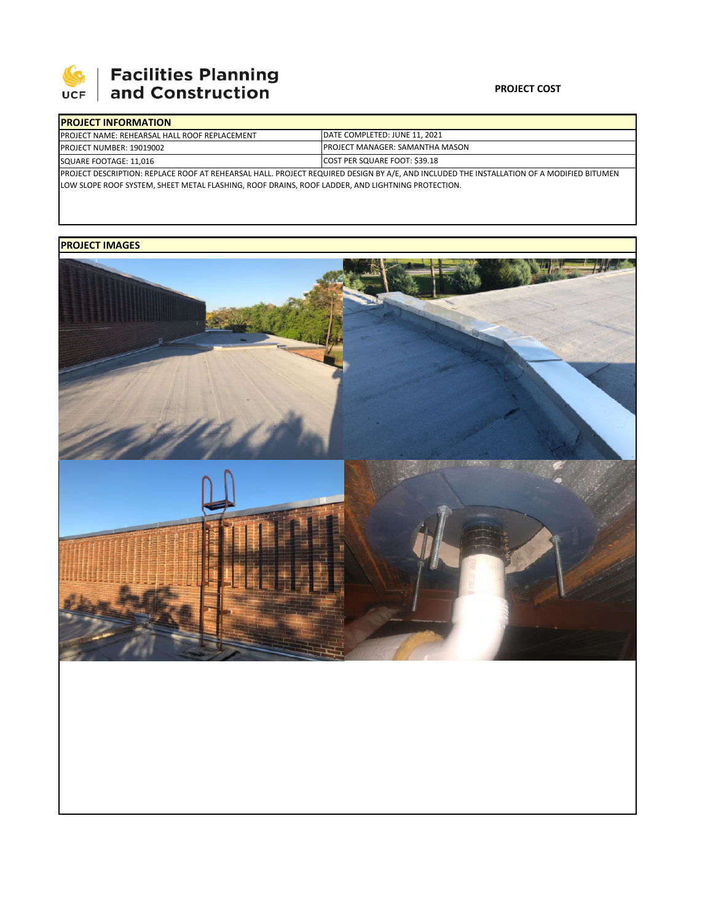

## **PROJECT COST**

| <b>IPROJECT INFORMATION</b>                                                                                                                                                                                                                  |                                        |  |  |  |  |  |  |
|----------------------------------------------------------------------------------------------------------------------------------------------------------------------------------------------------------------------------------------------|----------------------------------------|--|--|--|--|--|--|
| <b>PROJECT NAME: REHEARSAL HALL ROOF REPLACEMENT</b>                                                                                                                                                                                         | DATE COMPLETED: JUNE 11, 2021          |  |  |  |  |  |  |
| <b>PROJECT NUMBER: 19019002</b>                                                                                                                                                                                                              | <b>PROJECT MANAGER: SAMANTHA MASON</b> |  |  |  |  |  |  |
| SQUARE FOOTAGE: 11,016                                                                                                                                                                                                                       | COST PER SQUARE FOOT: \$39.18          |  |  |  |  |  |  |
| PROJECT DESCRIPTION: REPLACE ROOF AT REHEARSAL HALL. PROJECT REQUIRED DESIGN BY A/E, AND INCLUDED THE INSTALLATION OF A MODIFIED BITUMEN<br>LOW SLOPE ROOF SYSTEM, SHEET METAL FLASHING, ROOF DRAINS, ROOF LADDER, AND LIGHTNING PROTECTION. |                                        |  |  |  |  |  |  |

## **PROJECT IMAGES**